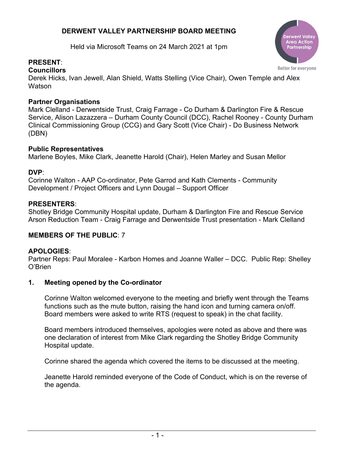## **DERWENT VALLEY PARTNERSHIP BOARD MEETING**

Held via Microsoft Teams on 24 March 2021 at 1pm



# **PRESENT**:

### **Councillors**

Derek Hicks, Ivan Jewell, Alan Shield, Watts Stelling (Vice Chair), Owen Temple and Alex **Watson** 

### **Partner Organisations**

Mark Clelland - Derwentside Trust, Craig Farrage - Co Durham & Darlington Fire & Rescue Service, Alison Lazazzera – Durham County Council (DCC), Rachel Rooney - County Durham Clinical Commissioning Group (CCG) and Gary Scott (Vice Chair) - Do Business Network (DBN)

### **Public Representatives**

Marlene Boyles, Mike Clark, Jeanette Harold (Chair), Helen Marley and Susan Mellor

## **DVP**:

Corinne Walton - AAP Co-ordinator, Pete Garrod and Kath Clements - Community Development / Project Officers and Lynn Dougal – Support Officer

## **PRESENTERS**:

Shotley Bridge Community Hospital update, Durham & Darlington Fire and Rescue Service Arson Reduction Team - Craig Farrage and Derwentside Trust presentation - Mark Clelland

## **MEMBERS OF THE PUBLIC**: 7

## **APOLOGIES**:

Partner Reps: Paul Moralee - Karbon Homes and Joanne Waller – DCC. Public Rep: Shelley O'Brien

## **1. Meeting opened by the Co-ordinator**

Corinne Walton welcomed everyone to the meeting and briefly went through the Teams functions such as the mute button, raising the hand icon and turning camera on/off. Board members were asked to write RTS (request to speak) in the chat facility.

Board members introduced themselves, apologies were noted as above and there was one declaration of interest from Mike Clark regarding the Shotley Bridge Community Hospital update.

Corinne shared the agenda which covered the items to be discussed at the meeting.

Jeanette Harold reminded everyone of the Code of Conduct, which is on the reverse of the agenda.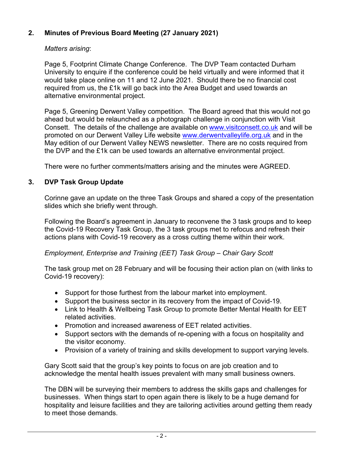## **2. Minutes of Previous Board Meeting (27 January 2021)**

#### *Matters arising*:

Page 5, Footprint Climate Change Conference. The DVP Team contacted Durham University to enquire if the conference could be held virtually and were informed that it would take place online on 11 and 12 June 2021. Should there be no financial cost required from us, the £1k will go back into the Area Budget and used towards an alternative environmental project.

Page 5, Greening Derwent Valley competition. The Board agreed that this would not go ahead but would be relaunched as a photograph challenge in conjunction with Visit Consett. The details of the challenge are available on [www.visitconsett.co.uk](http://www.visitconsett.co.uk/) and will be promoted on our Derwent Valley Life website [www.derwentvalleylife.org.uk](http://www.derwentvalleylife.org.uk/) and in the May edition of our Derwent Valley NEWS newsletter. There are no costs required from the DVP and the £1k can be used towards an alternative environmental project.

There were no further comments/matters arising and the minutes were AGREED.

#### **3. DVP Task Group Update**

Corinne gave an update on the three Task Groups and shared a copy of the presentation slides which she briefly went through.

Following the Board's agreement in January to reconvene the 3 task groups and to keep the Covid-19 Recovery Task Group, the 3 task groups met to refocus and refresh their actions plans with Covid-19 recovery as a cross cutting theme within their work.

#### *Employment, Enterprise and Training (EET) Task Group – Chair Gary Scott*

The task group met on 28 February and will be focusing their action plan on (with links to Covid-19 recovery):

- Support for those furthest from the labour market into employment.
- Support the business sector in its recovery from the impact of Covid-19.
- Link to Health & Wellbeing Task Group to promote Better Mental Health for EET related activities.
- Promotion and increased awareness of EET related activities.
- Support sectors with the demands of re-opening with a focus on hospitality and the visitor economy.
- Provision of a variety of training and skills development to support varying levels.

Gary Scott said that the group's key points to focus on are job creation and to acknowledge the mental health issues prevalent with many small business owners.

The DBN will be surveying their members to address the skills gaps and challenges for businesses. When things start to open again there is likely to be a huge demand for hospitality and leisure facilities and they are tailoring activities around getting them ready to meet those demands.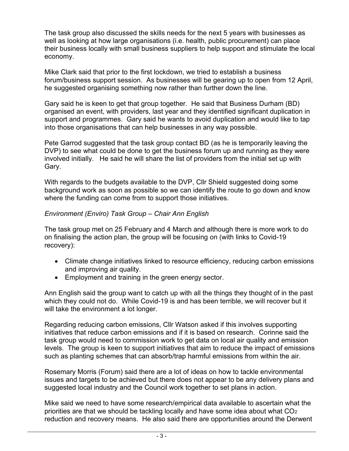The task group also discussed the skills needs for the next 5 years with businesses as well as looking at how large organisations (i.e. health, public procurement) can place their business locally with small business suppliers to help support and stimulate the local economy.

Mike Clark said that prior to the first lockdown, we tried to establish a business forum/business support session. As businesses will be gearing up to open from 12 April, he suggested organising something now rather than further down the line.

Gary said he is keen to get that group together. He said that Business Durham (BD) organised an event, with providers, last year and they identified significant duplication in support and programmes. Gary said he wants to avoid duplication and would like to tap into those organisations that can help businesses in any way possible.

Pete Garrod suggested that the task group contact BD (as he is temporarily leaving the DVP) to see what could be done to get the business forum up and running as they were involved initially. He said he will share the list of providers from the initial set up with Gary.

With regards to the budgets available to the DVP, Cllr Shield suggested doing some background work as soon as possible so we can identify the route to go down and know where the funding can come from to support those initiatives.

#### *Environment (Enviro) Task Group – Chair Ann English*

The task group met on 25 February and 4 March and although there is more work to do on finalising the action plan, the group will be focusing on (with links to Covid-19 recovery):

- Climate change initiatives linked to resource efficiency, reducing carbon emissions and improving air quality.
- Employment and training in the green energy sector.

Ann English said the group want to catch up with all the things they thought of in the past which they could not do. While Covid-19 is and has been terrible, we will recover but it will take the environment a lot longer.

Regarding reducing carbon emissions, Cllr Watson asked if this involves supporting initiatives that reduce carbon emissions and if it is based on research. Corinne said the task group would need to commission work to get data on local air quality and emission levels. The group is keen to support initiatives that aim to reduce the impact of emissions such as planting schemes that can absorb/trap harmful emissions from within the air.

Rosemary Morris (Forum) said there are a lot of ideas on how to tackle environmental issues and targets to be achieved but there does not appear to be any delivery plans and suggested local industry and the Council work together to set plans in action.

Mike said we need to have some research/empirical data available to ascertain what the priorities are that we should be tackling locally and have some idea about what  $CO<sub>2</sub>$ reduction and recovery means. He also said there are opportunities around the Derwent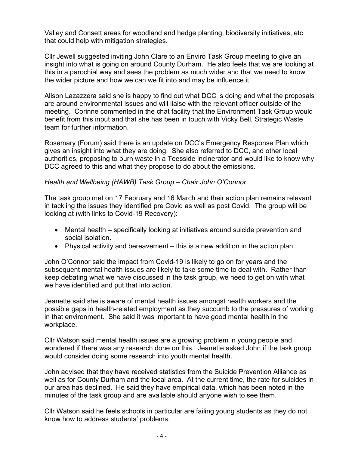Valley and Consett areas for woodland and hedge planting, biodiversity initiatives, etc that could help with mitigation strategies.

Cllr Jewell suggested inviting John Clare to an Enviro Task Group meeting to give an insight into what is going on around County Durham. He also feels that we are looking at this in a parochial way and sees the problem as much wider and that we need to know the wider picture and how we can we fit into and may be influence it.

Alison Lazazzera said she is happy to find out what DCC is doing and what the proposals are around environmental issues and will liaise with the relevant officer outside of the meeting. Corinne commented in the chat facility that the Environment Task Group would benefit from this input and that she has been in touch with Vicky Bell, Strategic Waste team for further information.

Rosemary (Forum) said there is an update on DCC's Emergency Response Plan which gives an insight into what they are doing. She also referred to DCC, and other local authorities, proposing to burn waste in a Teesside incinerator and would like to know why DCC agreed to this and what they propose to do about the emissions.

#### *Health and Wellbeing (HAWB) Task Group – Chair John O'Connor*

The task group met on 17 February and 16 March and their action plan remains relevant in tackling the issues they identified pre Covid as well as post Covid. The group will be looking at (with links to Covid-19 Recovery):

- Mental health specifically looking at initiatives around suicide prevention and social isolation.
- Physical activity and bereavement this is a new addition in the action plan.

John O'Connor said the impact from Covid-19 is likely to go on for years and the subsequent mental health issues are likely to take some time to deal with. Rather than keep debating what we have discussed in the task group, we need to get on with what we have identified and put that into action.

Jeanette said she is aware of mental health issues amongst health workers and the possible gaps in health-related employment as they succumb to the pressures of working in that environment. She said it was important to have good mental health in the workplace.

Cllr Watson said mental health issues are a growing problem in young people and wondered if there was any research done on this. Jeanette asked John if the task group would consider doing some research into youth mental health.

John advised that they have received statistics from the Suicide Prevention Alliance as well as for County Durham and the local area. At the current time, the rate for suicides in our area has declined. He said they have empirical data, which has been noted in the minutes of the task group and are available should anyone wish to see them.

Cllr Watson said he feels schools in particular are failing young students as they do not know how to address students' problems.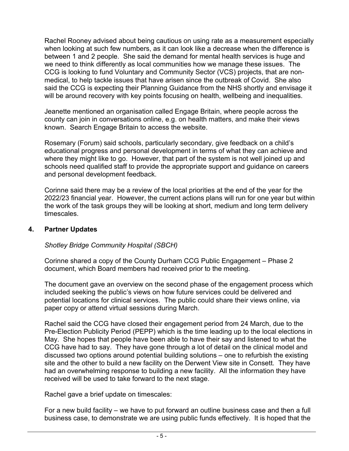Rachel Rooney advised about being cautious on using rate as a measurement especially when looking at such few numbers, as it can look like a decrease when the difference is between 1 and 2 people. She said the demand for mental health services is huge and we need to think differently as local communities how we manage these issues. The CCG is looking to fund Voluntary and Community Sector (VCS) projects, that are nonmedical, to help tackle issues that have arisen since the outbreak of Covid. She also said the CCG is expecting their Planning Guidance from the NHS shortly and envisage it will be around recovery with key points focusing on health, wellbeing and inequalities.

Jeanette mentioned an organisation called Engage Britain, where people across the county can join in conversations online, e.g. on health matters, and make their views known. Search Engage Britain to access the website.

Rosemary (Forum) said schools, particularly secondary, give feedback on a child's educational progress and personal development in terms of what they can achieve and where they might like to go. However, that part of the system is not well joined up and schools need qualified staff to provide the appropriate support and guidance on careers and personal development feedback.

Corinne said there may be a review of the local priorities at the end of the year for the 2022/23 financial year. However, the current actions plans will run for one year but within the work of the task groups they will be looking at short, medium and long term delivery timescales.

#### **4. Partner Updates**

*Shotley Bridge Community Hospital (SBCH)*

Corinne shared a copy of the County Durham CCG Public Engagement – Phase 2 document, which Board members had received prior to the meeting.

The document gave an overview on the second phase of the engagement process which included seeking the public's views on how future services could be delivered and potential locations for clinical services. The public could share their views online, via paper copy or attend virtual sessions during March.

Rachel said the CCG have closed their engagement period from 24 March, due to the Pre-Election Publicity Period (PEPP) which is the time leading up to the local elections in May. She hopes that people have been able to have their say and listened to what the CCG have had to say. They have gone through a lot of detail on the clinical model and discussed two options around potential building solutions – one to refurbish the existing site and the other to build a new facility on the Derwent View site in Consett. They have had an overwhelming response to building a new facility. All the information they have received will be used to take forward to the next stage.

Rachel gave a brief update on timescales:

For a new build facility – we have to put forward an outline business case and then a full business case, to demonstrate we are using public funds effectively. It is hoped that the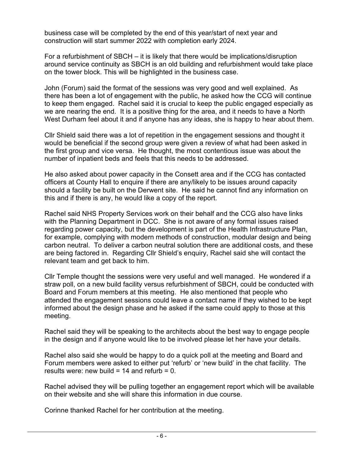business case will be completed by the end of this year/start of next year and construction will start summer 2022 with completion early 2024.

For a refurbishment of SBCH – it is likely that there would be implications/disruption around service continuity as SBCH is an old building and refurbishment would take place on the tower block. This will be highlighted in the business case.

John (Forum) said the format of the sessions was very good and well explained. As there has been a lot of engagement with the public, he asked how the CCG will continue to keep them engaged. Rachel said it is crucial to keep the public engaged especially as we are nearing the end. It is a positive thing for the area, and it needs to have a North West Durham feel about it and if anyone has any ideas, she is happy to hear about them.

Cllr Shield said there was a lot of repetition in the engagement sessions and thought it would be beneficial if the second group were given a review of what had been asked in the first group and vice versa. He thought, the most contentious issue was about the number of inpatient beds and feels that this needs to be addressed.

He also asked about power capacity in the Consett area and if the CCG has contacted officers at County Hall to enquire if there are any/likely to be issues around capacity should a facility be built on the Derwent site. He said he cannot find any information on this and if there is any, he would like a copy of the report.

Rachel said NHS Property Services work on their behalf and the CCG also have links with the Planning Department in DCC. She is not aware of any formal issues raised regarding power capacity, but the development is part of the Health Infrastructure Plan, for example, complying with modern methods of construction, modular design and being carbon neutral. To deliver a carbon neutral solution there are additional costs, and these are being factored in. Regarding Cllr Shield's enquiry, Rachel said she will contact the relevant team and get back to him.

Cllr Temple thought the sessions were very useful and well managed. He wondered if a straw poll, on a new build facility versus refurbishment of SBCH, could be conducted with Board and Forum members at this meeting. He also mentioned that people who attended the engagement sessions could leave a contact name if they wished to be kept informed about the design phase and he asked if the same could apply to those at this meeting.

Rachel said they will be speaking to the architects about the best way to engage people in the design and if anyone would like to be involved please let her have your details.

Rachel also said she would be happy to do a quick poll at the meeting and Board and Forum members were asked to either put 'refurb' or 'new build' in the chat facility. The results were: new build = 14 and refurb =  $0$ .

Rachel advised they will be pulling together an engagement report which will be available on their website and she will share this information in due course.

Corinne thanked Rachel for her contribution at the meeting.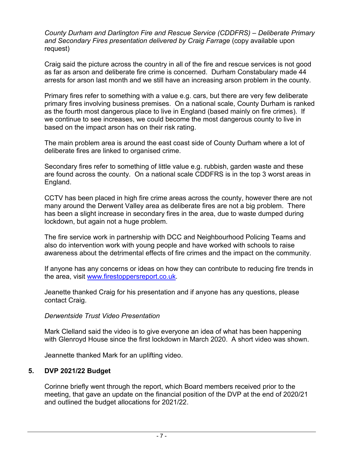*County Durham and Darlington Fire and Rescue Service (CDDFRS) – Deliberate Primary and Secondary Fires presentation delivered by Craig Farrage* (copy available upon request)

Craig said the picture across the country in all of the fire and rescue services is not good as far as arson and deliberate fire crime is concerned. Durham Constabulary made 44 arrests for arson last month and we still have an increasing arson problem in the county.

Primary fires refer to something with a value e.g. cars, but there are very few deliberate primary fires involving business premises. On a national scale, County Durham is ranked as the fourth most dangerous place to live in England (based mainly on fire crimes). If we continue to see increases, we could become the most dangerous county to live in based on the impact arson has on their risk rating.

The main problem area is around the east coast side of County Durham where a lot of deliberate fires are linked to organised crime.

Secondary fires refer to something of little value e.g. rubbish, garden waste and these are found across the county. On a national scale CDDFRS is in the top 3 worst areas in England.

CCTV has been placed in high fire crime areas across the county, however there are not many around the Derwent Valley area as deliberate fires are not a big problem. There has been a slight increase in secondary fires in the area, due to waste dumped during lockdown, but again not a huge problem.

The fire service work in partnership with DCC and Neighbourhood Policing Teams and also do intervention work with young people and have worked with schools to raise awareness about the detrimental effects of fire crimes and the impact on the community.

If anyone has any concerns or ideas on how they can contribute to reducing fire trends in the area, visit [www.firestoppersreport.co.uk.](http://www.firestoppersreport.co.uk/)

Jeanette thanked Craig for his presentation and if anyone has any questions, please contact Craig.

#### *Derwentside Trust Video Presentation*

Mark Clelland said the video is to give everyone an idea of what has been happening with Glenroyd House since the first lockdown in March 2020. A short video was shown.

Jeannette thanked Mark for an uplifting video.

#### **5. DVP 2021/22 Budget**

Corinne briefly went through the report, which Board members received prior to the meeting, that gave an update on the financial position of the DVP at the end of 2020/21 and outlined the budget allocations for 2021/22.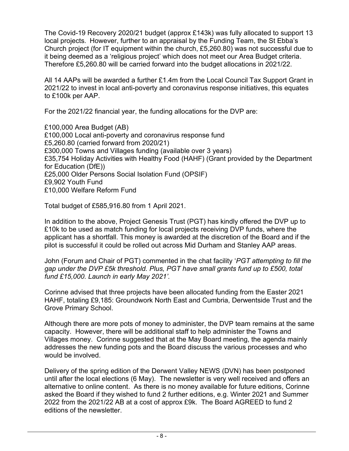The Covid-19 Recovery 2020/21 budget (approx £143k) was fully allocated to support 13 local projects. However, further to an appraisal by the Funding Team, the St Ebba's Church project (for IT equipment within the church, £5,260.80) was not successful due to it being deemed as a 'religious project' which does not meet our Area Budget criteria. Therefore £5,260.80 will be carried forward into the budget allocations in 2021/22.

All 14 AAPs will be awarded a further £1.4m from the Local Council Tax Support Grant in 2021/22 to invest in local anti-poverty and coronavirus response initiatives, this equates to £100k per AAP.

For the 2021/22 financial year, the funding allocations for the DVP are:

£100,000 Area Budget (AB) £100,000 Local anti-poverty and coronavirus response fund £5,260.80 (carried forward from 2020/21) £300,000 Towns and Villages funding (available over 3 years) £35,754 Holiday Activities with Healthy Food (HAHF) (Grant provided by the Department for Education (DfE)) £25,000 Older Persons Social Isolation Fund (OPSIF) £9,902 Youth Fund £10,000 Welfare Reform Fund

Total budget of £585,916.80 from 1 April 2021.

In addition to the above, Project Genesis Trust (PGT) has kindly offered the DVP up to £10k to be used as match funding for local projects receiving DVP funds, where the applicant has a shortfall. This money is awarded at the discretion of the Board and if the pilot is successful it could be rolled out across Mid Durham and Stanley AAP areas.

John (Forum and Chair of PGT) commented in the chat facility '*PGT attempting to fill the gap under the DVP £5k threshold. Plus, PGT have small grants fund up to £500, total fund £15,000. Launch in early May 2021'.*

Corinne advised that three projects have been allocated funding from the Easter 2021 HAHF, totaling £9,185: Groundwork North East and Cumbria, Derwentside Trust and the Grove Primary School.

Although there are more pots of money to administer, the DVP team remains at the same capacity. However, there will be additional staff to help administer the Towns and Villages money. Corinne suggested that at the May Board meeting, the agenda mainly addresses the new funding pots and the Board discuss the various processes and who would be involved.

Delivery of the spring edition of the Derwent Valley NEWS (DVN) has been postponed until after the local elections (6 May). The newsletter is very well received and offers an alternative to online content. As there is no money available for future editions, Corinne asked the Board if they wished to fund 2 further editions, e.g. Winter 2021 and Summer 2022 from the 2021/22 AB at a cost of approx £9k. The Board AGREED to fund 2 editions of the newsletter.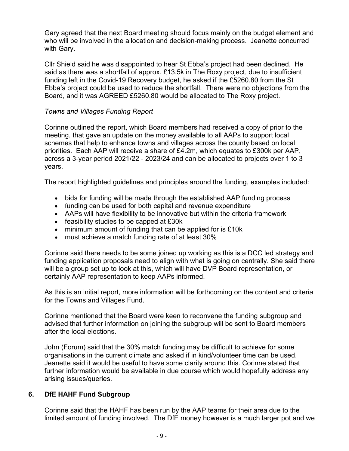Gary agreed that the next Board meeting should focus mainly on the budget element and who will be involved in the allocation and decision-making process. Jeanette concurred with Gary.

Cllr Shield said he was disappointed to hear St Ebba's project had been declined. He said as there was a shortfall of approx. £13.5k in The Roxy project, due to insufficient funding left in the Covid-19 Recovery budget, he asked if the £5260.80 from the St Ebba's project could be used to reduce the shortfall. There were no objections from the Board, and it was AGREED £5260.80 would be allocated to The Roxy project.

### *Towns and Villages Funding Report*

Corinne outlined the report, which Board members had received a copy of prior to the meeting, that gave an update on the money available to all AAPs to support local schemes that help to enhance towns and villages across the county based on local priorities. Each AAP will receive a share of £4.2m, which equates to £300k per AAP, across a 3-year period 2021/22 - 2023/24 and can be allocated to projects over 1 to 3 years.

The report highlighted guidelines and principles around the funding, examples included:

- bids for funding will be made through the established AAP funding process
- funding can be used for both capital and revenue expenditure
- AAPs will have flexibility to be innovative but within the criteria framework
- feasibility studies to be capped at £30k
- minimum amount of funding that can be applied for is £10k
- must achieve a match funding rate of at least 30%

Corinne said there needs to be some joined up working as this is a DCC led strategy and funding application proposals need to align with what is going on centrally. She said there will be a group set up to look at this, which will have DVP Board representation, or certainly AAP representation to keep AAPs informed.

As this is an initial report, more information will be forthcoming on the content and criteria for the Towns and Villages Fund.

Corinne mentioned that the Board were keen to reconvene the funding subgroup and advised that further information on joining the subgroup will be sent to Board members after the local elections.

John (Forum) said that the 30% match funding may be difficult to achieve for some organisations in the current climate and asked if in kind/volunteer time can be used. Jeanette said it would be useful to have some clarity around this. Corinne stated that further information would be available in due course which would hopefully address any arising issues/queries.

#### **6. DfE HAHF Fund Subgroup**

Corinne said that the HAHF has been run by the AAP teams for their area due to the limited amount of funding involved. The DfE money however is a much larger pot and we